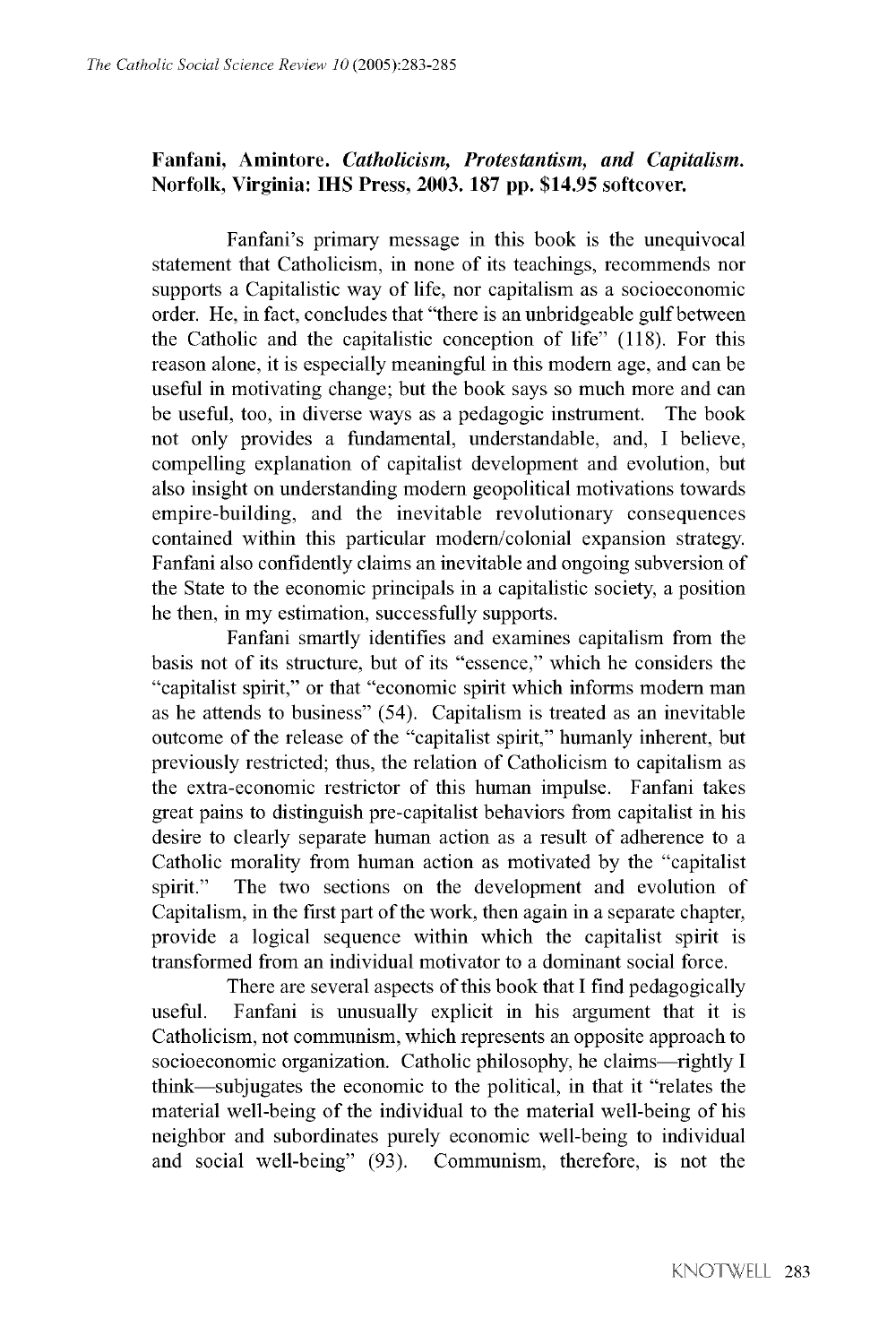## Fanfani, Amintore. *Catholicism*, *Protestantism*, and *Capitalism*. Norfolk, Virginia: IHS Press, 2003. 187 pp. \$14.95 softcover.

**Fanfani's primary message in this book is the unequivocal statement that Catholicism, in none of its teachings, recommends nor supports a Capitalistic way of life, nor capitalism as a socioeconomic order. He, in fact, concludes that "there is an unbridgeable gulf between the Catholic and the capitalistic conception of life" (118). For this reason alone, it is especially meaningful in this modern age, and can be useful in motivating change; but the book says so much more and can be useful, too, in diverse ways as a pedagogic instrument. The book not only provides a fundamental, understandable, and, I believe, compelling explanation of capitalist development and evolution, but also insight on understanding modern geopolitical motivations towards empire-building, and the inevitable revolutionary consequences contained within this particular modern/colonial expansion strategy. Fanfani also confidently claims an inevitable and ongoing subversion of the State to the economic principals in a capitalistic society, a position he then, in my estimation, successfully supports.**

**Fanfani smartly identifies and examines capitalism from the basis not of its structure, but of its "essence," which he considers the "capitalist spirit," or that "economic spirit which informs modern man as he attends to business" (54). Capitalism is treated as an inevitable outcome of the release of the "capitalist spirit," humanly inherent, but previously restricted; thus, the relation of Catholicism to capitalism as the extra-economic restrictor of this human impulse. Fanfani takes great pains to distinguish pre-capitalist behaviors from capitalist in his desire to clearly separate human action as a result of adherence to a Catholic morality from human action as motivated by the "capitalist spirit." The two sections on the development and evolution of Capitalism, in the first part of the work, then again in a separate chapter, provide a logical sequence within which the capitalist spirit is transformed from an individual motivator to a dominant social force.**

**There are several aspects of this book that I find pedagogically useful. Fanfani is unusually explicit in his argument that it is Catholicism, not communism, which represents an opposite approach to socioeconomic organization. Catholic philosophy, he claims—rightly I think—subjugates the economic to the political, in that it "relates the material well-being of the individual to the material well-being of his neighbor and subordinates purely economic well-being to individual and social well-being" (93). Communism, therefore, is not the**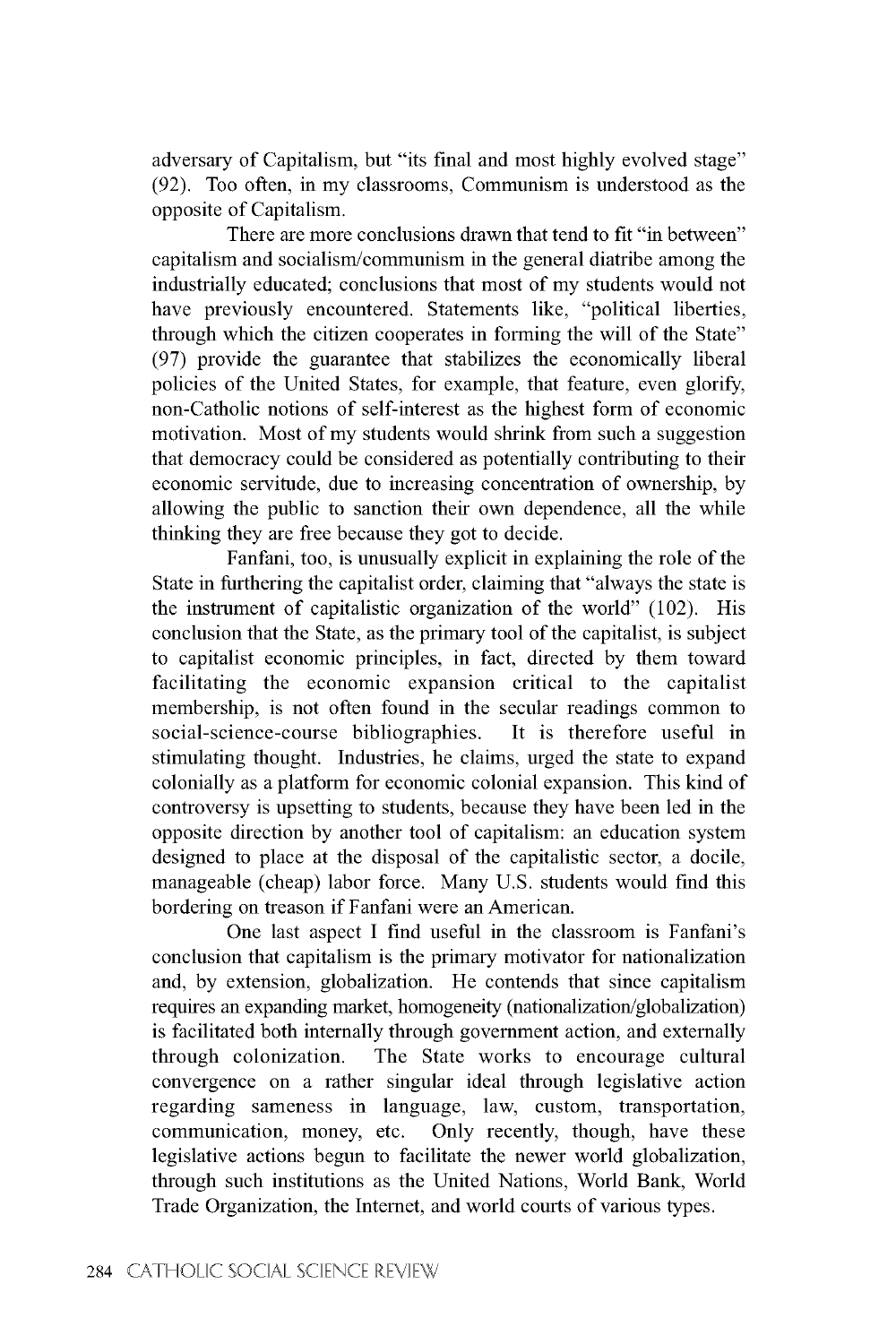**adversary of Capitalism, but "its final and most highly evolved stage" (92). Too often, in my classrooms, Communism is understood as the opposite of Capitalism.**

**There are more conclusions drawn that tend to fit "in between" capitalism and socialism/communism in the general diatribe among the industrially educated; conclusions that most of my students would not have previously encountered. Statements like, "political liberties, through which the citizen cooperates in forming the will of the State" (97) provide the guarantee that stabilizes the economically liberal policies of the United States, for example, that feature, even glorify, non-Catholic notions of self-interest as the highest form of economic motivation. Most of my students would shrink from such a suggestion that democracy could be considered as potentially contributing to their economic servitude, due to increasing concentration of ownership, by allowing the public to sanction their own dependence, all the while thinking they are free because they got to decide.**

**Fanfani, too, is unusually explicit in explaining the role of the State in furthering the capitalist order, claiming that "always the state is the instrument of capitalistic organization of the world" (102). His conclusion that the State, as the primary tool of the capitalist, is subject to capitalist economic principles, in fact, directed by them toward facilitating the economic expansion critical to the capitalist membership, is not often found in the secular readings common to social-science-course bibliographies. It is therefore useful in stimulating thought. Industries, he claims, urged the state to expand colonially as a platform for economic colonial expansion. This kind of controversy is upsetting to students, because they have been led in the opposite direction by another tool of capitalism: an education system designed to place at the disposal of the capitalistic sector, a docile, manageable (cheap) labor force. Many U.S. students would find this bordering on treason if Fanfani were an American.**

**One last aspect I find useful in the classroom is Fanfani's conclusion that capitalism is the primary motivator for nationalization and, by extension, globalization. He contends that since capitalism requires an expanding market, homogeneity (nationalization/globalization) is facilitated both internally through government action, and externally through colonization. The State works to encourage cultural convergence on a rather singular ideal through legislative action regarding sameness in language, law, custom, transportation, communication, money, etc. Only recently, though, have these legislative actions begun to facilitate the newer world globalization, through such institutions as the United Nations, World Bank, World Trade Organization, the Internet, and world courts of various types.**